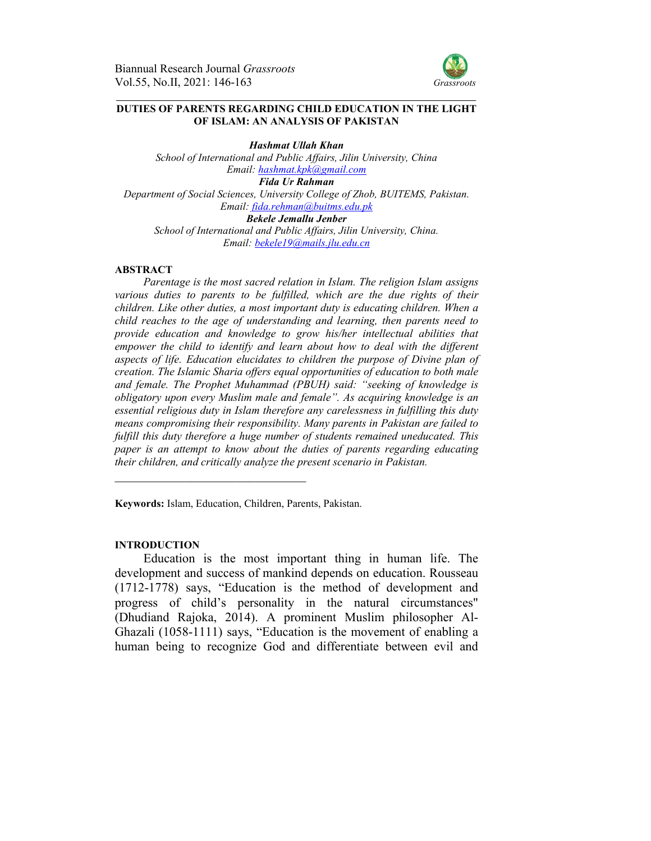

#### **DUTIES OF PARENTS REGARDING CHILD EDUCATION IN THE LIGHT OF ISLAM: AN ANALYSIS OF PAKISTAN**

*Hashmat Ullah Khan School of International and Public Affairs, Jilin University, China Email: hashmat.kpk@gmail.com*

*Fida Ur Rahman*

*Department of Social Sciences, University College of Zhob, BUITEMS, Pakistan. Email: fida.rehman@buitms.edu.pk*

*Bekele Jemallu Jenber*

*School of International and Public Affairs, Jilin University, China. Email: bekele19@mails.jlu.edu.cn*

### **ABSTRACT**

*Parentage is the most sacred relation in Islam. The religion Islam assigns various duties to parents to be fulfilled, which are the due rights of their children. Like other duties, a most important duty is educating children. When a child reaches to the age of understanding and learning, then parents need to provide education and knowledge to grow his/her intellectual abilities that empower the child to identify and learn about how to deal with the different aspects of life. Education elucidates to children the purpose of Divine plan of creation. The Islamic Sharia offers equal opportunities of education to both male and female. The Prophet Muhammad (PBUH) said: "seeking of knowledge is obligatory upon every Muslim male and female". As acquiring knowledge is an essential religious duty in Islam therefore any carelessness in fulfilling this duty means compromising their responsibility. Many parents in Pakistan are failed to fulfill this duty therefore a huge number of students remained uneducated. This paper is an attempt to know about the duties of parents regarding educating their children, and critically analyze the present scenario in Pakistan.*

**Keywords:** Islam, Education, Children, Parents, Pakistan.

\_\_\_\_\_\_\_\_\_\_\_\_\_\_\_\_\_\_\_\_\_\_\_\_\_\_\_\_\_\_

### **INTRODUCTION**

Education is the most important thing in human life. The development and success of mankind depends on education. Rousseau (1712-1778) says, "Education is the method of development and progress of child's personality in the natural circumstances" (Dhudiand Rajoka, 2014). A prominent Muslim philosopher Al-Ghazali (1058-1111) says, "Education is the movement of enabling a human being to recognize God and differentiate between evil and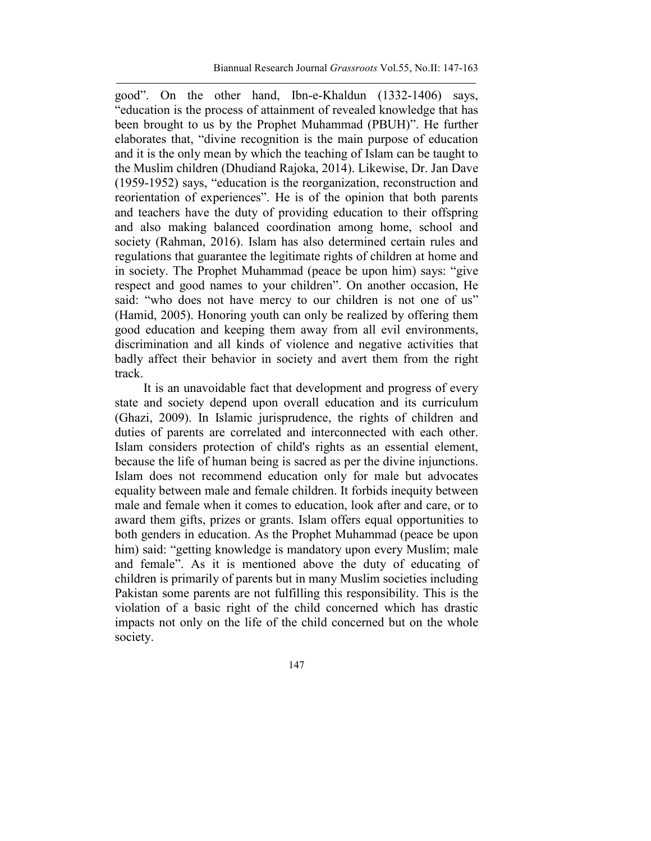good". On the other hand, Ibn-e-Khaldun (1332-1406) says, "education is the process of attainment of revealed knowledge that has been brought to us by the Prophet Muhammad (PBUH)". He further elaborates that, "divine recognition is the main purpose of education and it is the only mean by which the teaching of Islam can be taught to the Muslim children (Dhudiand Rajoka, 2014). Likewise, Dr. Jan Dave (1959-1952) says, "education is the reorganization, reconstruction and reorientation of experiences". He is of the opinion that both parents and teachers have the duty of providing education to their offspring and also making balanced coordination among home, school and society (Rahman, 2016). Islam has also determined certain rules and regulations that guarantee the legitimate rights of children at home and in society. The Prophet Muhammad (peace be upon him) says: "give respect and good names to your children". On another occasion, He said: "who does not have mercy to our children is not one of us" (Hamid, 2005). Honoring youth can only be realized by offering them good education and keeping them away from all evil environments, discrimination and all kinds of violence and negative activities that badly affect their behavior in society and avert them from the right track.

It is an unavoidable fact that development and progress of every state and society depend upon overall education and its curriculum (Ghazi, 2009). In Islamic jurisprudence, the rights of children and duties of parents are correlated and interconnected with each other. Islam considers protection of child's rights as an essential element, because the life of human being is sacred as per the divine injunctions. Islam does not recommend education only for male but advocates equality between male and female children. It forbids inequity between male and female when it comes to education, look after and care, or to award them gifts, prizes or grants. Islam offers equal opportunities to both genders in education. As the Prophet Muhammad (peace be upon him) said: "getting knowledge is mandatory upon every Muslim; male and female". As it is mentioned above the duty of educating of children is primarily of parents but in many Muslim societies including Pakistan some parents are not fulfilling this responsibility. This is the violation of a basic right of the child concerned which has drastic impacts not only on the life of the child concerned but on the whole society.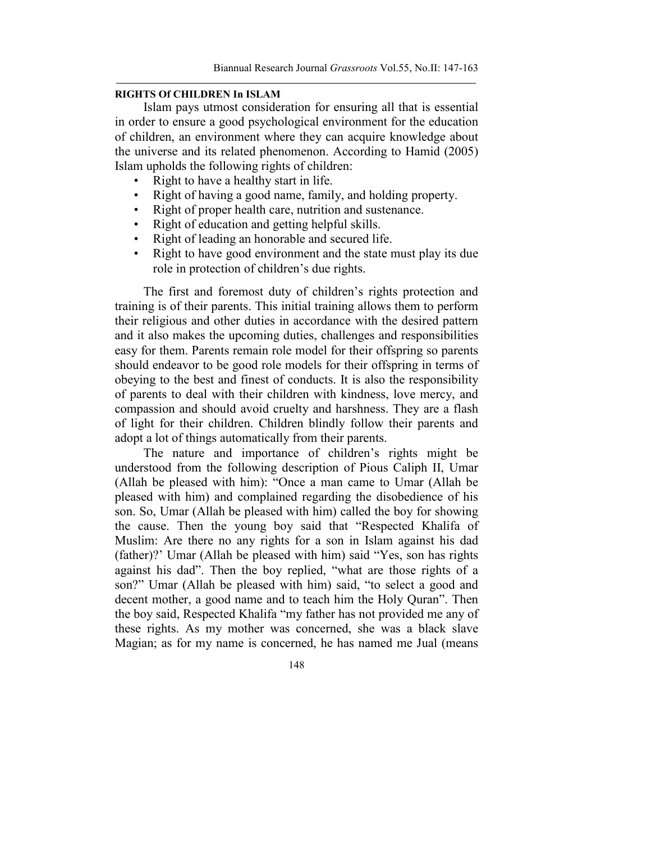# **RIGHTS Of CHILDREN In ISLAM**

Islam pays utmost consideration for ensuring all that is essential in order to ensure a good psychological environment for the education of children, an environment where they can acquire knowledge about the universe and its related phenomenon. According to Hamid (2005) Islam upholds the following rights of children:

- Right to have a healthy start in life.
- Right of having a good name, family, and holding property.
- Right of proper health care, nutrition and sustenance.
- Right of education and getting helpful skills.
- Right of leading an honorable and secured life.
- Right to have good environment and the state must play its due role in protection of children's due rights.

The first and foremost duty of children's rights protection and training is of their parents. This initial training allows them to perform their religious and other duties in accordance with the desired pattern and it also makes the upcoming duties, challenges and responsibilities easy for them. Parents remain role model for their offspring so parents should endeavor to be good role models for their offspring in terms of obeying to the best and finest of conducts. It is also the responsibility of parents to deal with their children with kindness, love mercy, and compassion and should avoid cruelty and harshness. They are a flash of light for their children. Children blindly follow their parents and adopt a lot of things automatically from their parents.

The nature and importance of children's rights might be understood from the following description of Pious Caliph II, Umar (Allah be pleased with him): "Once a man came to Umar (Allah be pleased with him) and complained regarding the disobedience of his son. So, Umar (Allah be pleased with him) called the boy for showing the cause. Then the young boy said that "Respected Khalifa of Muslim: Are there no any rights for a son in Islam against his dad (father)?' Umar (Allah be pleased with him) said "Yes, son has rights against his dad". Then the boy replied, "what are those rights of a son?" Umar (Allah be pleased with him) said, "to select a good and decent mother, a good name and to teach him the Holy Quran". Then the boy said, Respected Khalifa "my father has not provided me any of these rights. As my mother was concerned, she was a black slave Magian; as for my name is concerned, he has named me Jual (means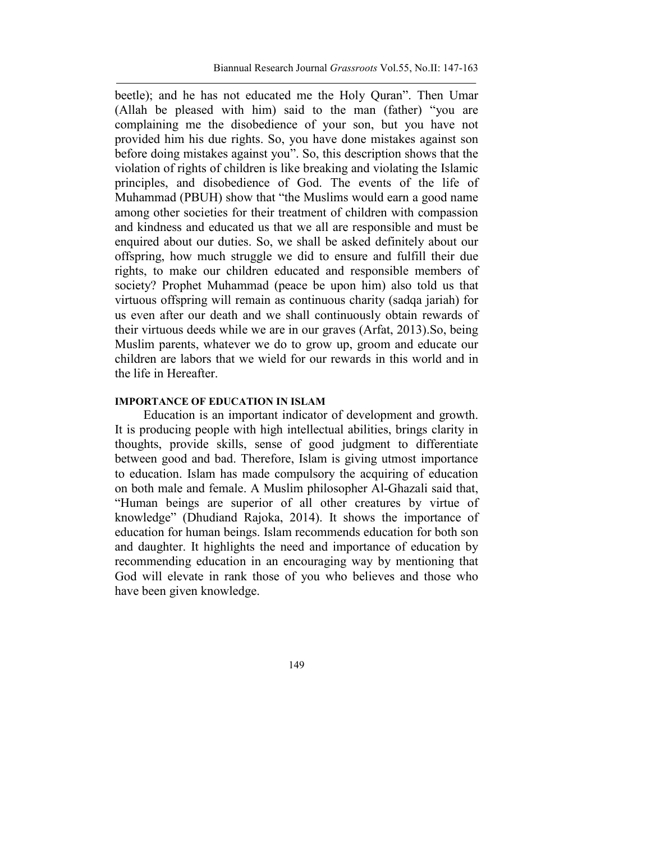beetle); and he has not educated me the Holy Quran". Then Umar (Allah be pleased with him) said to the man (father) "you are complaining me the disobedience of your son, but you have not provided him his due rights. So, you have done mistakes against son before doing mistakes against you". So, this description shows that the violation of rights of children is like breaking and violating the Islamic principles, and disobedience of God. The events of the life of Muhammad (PBUH) show that "the Muslims would earn a good name among other societies for their treatment of children with compassion and kindness and educated us that we all are responsible and must be enquired about our duties. So, we shall be asked definitely about our offspring, how much struggle we did to ensure and fulfill their due rights, to make our children educated and responsible members of society? Prophet Muhammad (peace be upon him) also told us that virtuous offspring will remain as continuous charity (sadqa jariah) for us even after our death and we shall continuously obtain rewards of their virtuous deeds while we are in our graves (Arfat, 2013).So, being Muslim parents, whatever we do to grow up, groom and educate our children are labors that we wield for our rewards in this world and in the life in Hereafter.

#### **IMPORTANCE OF EDUCATION IN ISLAM**

Education is an important indicator of development and growth. It is producing people with high intellectual abilities, brings clarity in thoughts, provide skills, sense of good judgment to differentiate between good and bad. Therefore, Islam is giving utmost importance to education. Islam has made compulsory the acquiring of education on both male and female. A Muslim philosopher Al-Ghazali said that, "Human beings are superior of all other creatures by virtue of knowledge" (Dhudiand Rajoka, 2014). It shows the importance of education for human beings. Islam recommends education for both son and daughter. It highlights the need and importance of education by recommending education in an encouraging way by mentioning that God will elevate in rank those of you who believes and those who have been given knowledge.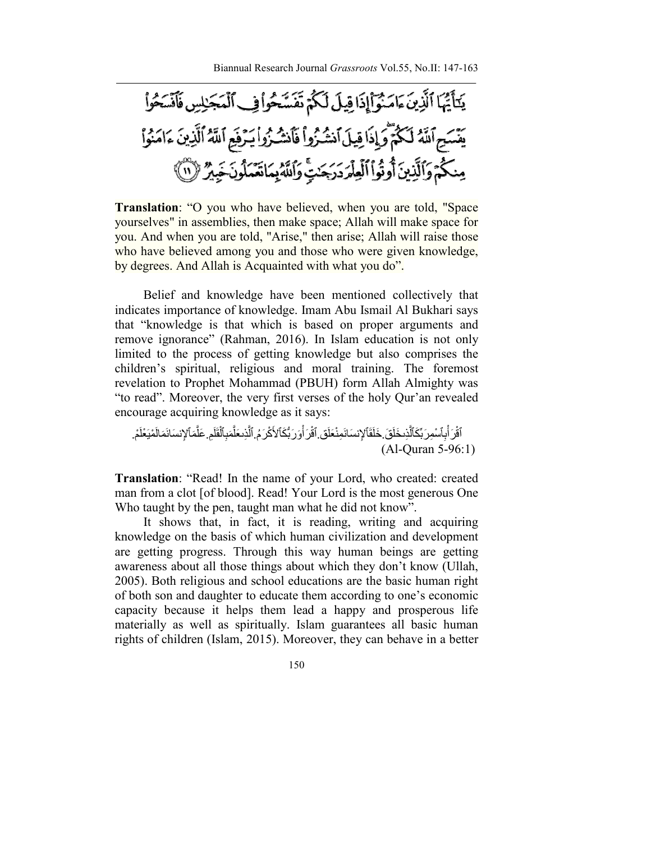يَتَأَيُّهَا ٱلَّذِينَ ءَامَنُوٓاإِذَاقِيلَ لَكُمْ تَفَسَّحُواْ فِ ٱلْمَجَلِسِ فَأَنْسَحُواْ يَنْسَحِ ٱللَّهُ لَكُمْ وَإِذَا قِيلَ ٱنشُزُواْ فَأَنشُرُواْ يَرْفَعِ ٱللَّهُ ٱلَّذِينَ ءَامَنُواْ مِنكُمْ وَٱلَّذِينَ أُوتُواْ ٱلْعِلَّمَ دَرَجَيْ وَٱللَّهُ بِمَاتَعَمَلُونَ خَبِيرٌ ۚ (لَا )

**Translation**: "O you who have believed, when you are told, "Space yourselves" in assemblies, then make space; Allah will make space for you. And when you are told, "Arise," then arise; Allah will raise those who have believed among you and those who were given knowledge, by degrees. And Allah is Acquainted with what you do".

Belief and knowledge have been mentioned collectively that indicates importance of knowledge. Imam Abu Ismail Al Bukhari says that "knowledge is that which is based on proper arguments and remove ignorance" (Rahman, 2016). In Islam education is not only limited to the process of getting knowledge but also comprises the children's spiritual, religious and moral training. The foremost revelation to Prophet Mohammad (PBUH) form Allah Almighty was "to read". Moreover, the very first verses of the holy Qur'an revealed encourage acquiring knowledge as it says:

ٱقْرَ أَبِٱسْمِرَ بِّكَٱلَّذِىخَلَقَ خَلَقَٱلإِنسَانَمِنْعَلَق ٱقْرَ أَوَرَبُّكَٱلأَكْرَمُ ٱلَّذِىعَلَّمَبِٱلْقَلَمِ عَلَّمَٱلإِنسَانَمَالَمْيَعْلَمْ َّ ا با المسلمان<br>المسلمان<br>المسلمان **ٔ** ٔ ا َل َّ (Al-Quran 5-96:1)

**Translation**: "Read! In the name of your Lord, who created: created man from a clot [of blood]. Read! Your Lord is the most generous One Who taught by the pen, taught man what he did not know".

It shows that, in fact, it is reading, writing and acquiring knowledge on the basis of which human civilization and development are getting progress. Through this way human beings are getting awareness about all those things about which they don't know (Ullah, 2005). Both religious and school educations are the basic human right of both son and daughter to educate them according to one's economic capacity because it helps them lead a happy and prosperous life materially as well as spiritually. Islam guarantees all basic human rights of children (Islam, 2015). Moreover, they can behave in a better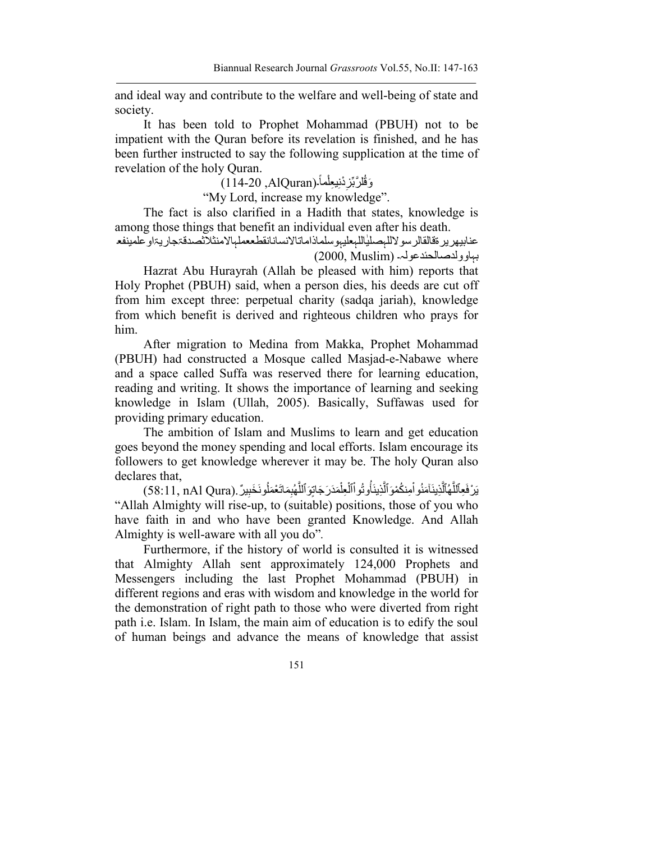and ideal way and contribute to the welfare and well-being of state and society.

It has been told to Prophet Mohammad (PBUH) not to be impatient with the Quran before its revelation is finished, and he has been further instructed to say the following supplication at the time of revelation of the holy Quran.

ً۔ وَقُلْرَّبِّزِدْنِيعِلْماً (AlQuran, 114-20) **∶** 

"My Lord, increase my knowledge".

The fact is also clarified in a Hadith that states, knowledge is among those things that benefit an individual even after his death. عنابیهرير ةقالقالرسو لاللہصلیاللہعلیہوسلماذاماتالانسانانقطععملہالامنثلاثصدقۃجاریۃاوعلمینفع

بہاوولدصالحئدعولہ۔ (Muslim 2000,(

Hazrat Abu Hurayrah (Allah be pleased with him) reports that Holy Prophet (PBUH) said, when a person dies, his deeds are cut off from him except three: perpetual charity (sadqa jariah), knowledge from which benefit is derived and righteous children who prays for him.

After migration to Medina from Makka, Prophet Mohammad (PBUH) had constructed a Mosque called Masjad-e-Nabawe where and a space called Suffa was reserved there for learning education, reading and writing. It shows the importance of learning and seeking knowledge in Islam (Ullah, 2005). Basically, Suffawas used for providing primary education.

The ambition of Islam and Muslims to learn and get education goes beyond the money spending and local efforts. Islam encourage its followers to get knowledge wherever it may be. The holy Quran also declares that,

ِبَرْ فَعِالَلَّهُالَّذِينَآمَنُو اْمِنْكُمْوَ ٱلَّذِينَأُو ثُو اْٱلْعِلْمَدَرَ جَاتِوَ ٱللَّهُبِمَاتَعْمَلُونَخَبِيرٌ .(58:11, nAl Qura) ا<br>ا ا<br>ا َّ ْ"Allah Almighty will rise-up, to (suitable) positions, those of you who have faith in and who have been granted Knowledge. And Allah Almighty is well-aware with all you do"*.*

Furthermore, if the history of world is consulted it is witnessed that Almighty Allah sent approximately 124,000 Prophets and Messengers including the last Prophet Mohammad (PBUH) in different regions and eras with wisdom and knowledge in the world for the demonstration of right path to those who were diverted from right path i.e. Islam. In Islam, the main aim of education is to edify the soul of human beings and advance the means of knowledge that assist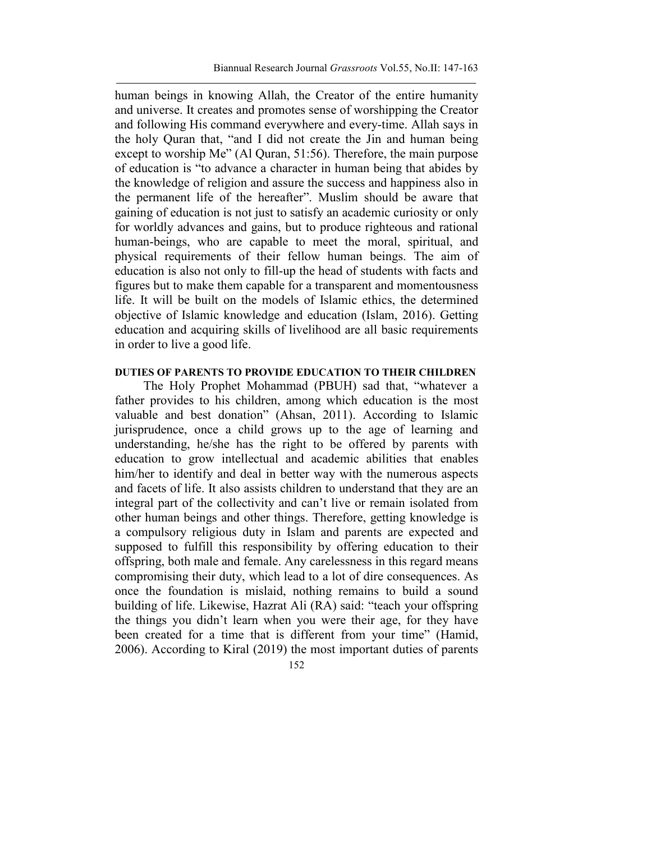human beings in knowing Allah, the Creator of the entire humanity and universe. It creates and promotes sense of worshipping the Creator and following His command everywhere and every-time. Allah says in the holy Quran that, "and I did not create the Jin and human being except to worship Me" (Al Quran, 51:56). Therefore, the main purpose of education is "to advance a character in human being that abides by the knowledge of religion and assure the success and happiness also in the permanent life of the hereafter". Muslim should be aware that gaining of education is not just to satisfy an academic curiosity or only for worldly advances and gains, but to produce righteous and rational human-beings, who are capable to meet the moral, spiritual, and physical requirements of their fellow human beings. The aim of education is also not only to fill-up the head of students with facts and figures but to make them capable for a transparent and momentousness life. It will be built on the models of Islamic ethics, the determined objective of Islamic knowledge and education (Islam, 2016). Getting education and acquiring skills of livelihood are all basic requirements in order to live a good life.

### **DUTIES OF PARENTS TO PROVIDE EDUCATION TO THEIR CHILDREN**

The Holy Prophet Mohammad (PBUH) sad that, "whatever a father provides to his children, among which education is the most valuable and best donation" (Ahsan, 2011). According to Islamic jurisprudence, once a child grows up to the age of learning and understanding, he/she has the right to be offered by parents with education to grow intellectual and academic abilities that enables him/her to identify and deal in better way with the numerous aspects and facets of life. It also assists children to understand that they are an integral part of the collectivity and can't live or remain isolated from other human beings and other things. Therefore, getting knowledge is a compulsory religious duty in Islam and parents are expected and supposed to fulfill this responsibility by offering education to their offspring, both male and female. Any carelessness in this regard means compromising their duty, which lead to a lot of dire consequences. As once the foundation is mislaid, nothing remains to build a sound building of life. Likewise, Hazrat Ali (RA) said: "teach your offspring the things you didn't learn when you were their age, for they have been created for a time that is different from your time" (Hamid, 2006). According to Kiral (2019) the most important duties of parents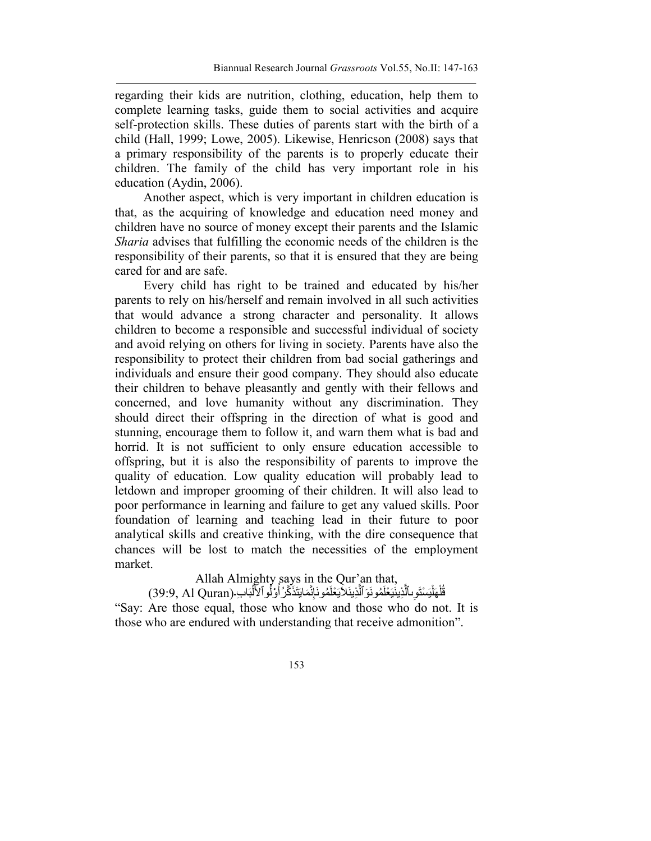regarding their kids are nutrition, clothing, education, help them to complete learning tasks, guide them to social activities and acquire self-protection skills. These duties of parents start with the birth of a child (Hall, 1999; Lowe, 2005). Likewise, Henricson (2008) says that a primary responsibility of the parents is to properly educate their children. The family of the child has very important role in his education (Aydin, 2006).

Another aspect, which is very important in children education is that, as the acquiring of knowledge and education need money and children have no source of money except their parents and the Islamic *Sharia* advises that fulfilling the economic needs of the children is the responsibility of their parents, so that it is ensured that they are being cared for and are safe.

Every child has right to be trained and educated by his/her parents to rely on his/herself and remain involved in all such activities that would advance a strong character and personality. It allows children to become a responsible and successful individual of society and avoid relying on others for living in society. Parents have also the responsibility to protect their children from bad social gatherings and individuals and ensure their good company. They should also educate their children to behave pleasantly and gently with their fellows and concerned, and love humanity without any discrimination. They should direct their offspring in the direction of what is good and stunning, encourage them to follow it, and warn them what is bad and horrid. It is not sufficient to only ensure education accessible to offspring, but it is also the responsibility of parents to improve the quality of education. Low quality education will probably lead to letdown and improper grooming of their children. It will also lead to poor performance in learning and failure to get any valued skills. Poor foundation of learning and teaching lead in their future to poor analytical skills and creative thinking, with the dire consequence that chances will be lost to match the necessities of the employment market.

Allah Almighty says in the Qur'an that,

َقْلْهَلْیَسْتَوِ لِٱلَّذِینَیَخْلَمُونَوَٱلَّذِینَالَاَیَعْلَمُونَإِنَّمَایَتَذَکَّرُ أُوْلُوٱلأَلْبَابِ(39:9, Al Quran) َّ  $\overline{1}$ ֖֖ׅ֖֧֧֪ׅ֪ׅ֖֧֚֚֚֚֚֚֚֚֚֚֚֚֚֚֚֚֚֚֚֚֚֚֚֚֚֚֚֚֡֡֝֬֡֡֡֡֡֡֡֓֞֡֡֡֡֬֞֝֬֞֝֬֓֞֬֞֟֓֝֬֓֬֞֝֬֝֬֞֬֞֬֝֬ ُ َّ َّ "Say: Are those equal, those who know and those who do not. It is those who are endured with understanding that receive admonition".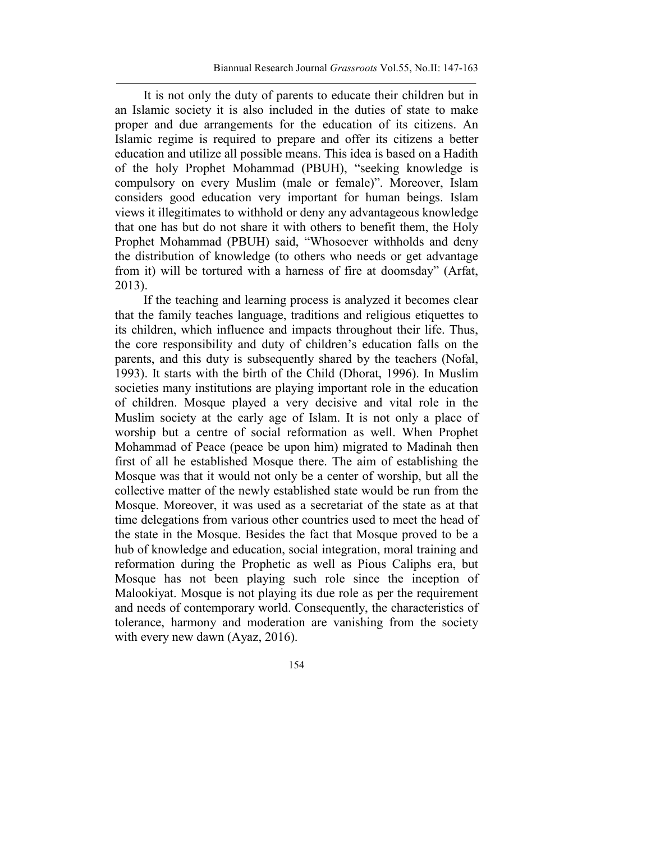It is not only the duty of parents to educate their children but in an Islamic society it is also included in the duties of state to make proper and due arrangements for the education of its citizens. An Islamic regime is required to prepare and offer its citizens a better education and utilize all possible means. This idea is based on a Hadith of the holy Prophet Mohammad (PBUH), "seeking knowledge is compulsory on every Muslim (male or female)". Moreover, Islam considers good education very important for human beings. Islam views it illegitimates to withhold or deny any advantageous knowledge that one has but do not share it with others to benefit them, the Holy Prophet Mohammad (PBUH) said, "Whosoever withholds and deny the distribution of knowledge (to others who needs or get advantage from it) will be tortured with a harness of fire at doomsday" (Arfat, 2013).

If the teaching and learning process is analyzed it becomes clear that the family teaches language, traditions and religious etiquettes to its children, which influence and impacts throughout their life. Thus, the core responsibility and duty of children's education falls on the parents, and this duty is subsequently shared by the teachers (Nofal, 1993). It starts with the birth of the Child (Dhorat, 1996). In Muslim societies many institutions are playing important role in the education of children. Mosque played a very decisive and vital role in the Muslim society at the early age of Islam. It is not only a place of worship but a centre of social reformation as well. When Prophet Mohammad of Peace (peace be upon him) migrated to Madinah then first of all he established Mosque there. The aim of establishing the Mosque was that it would not only be a center of worship, but all the collective matter of the newly established state would be run from the Mosque. Moreover, it was used as a secretariat of the state as at that time delegations from various other countries used to meet the head of the state in the Mosque. Besides the fact that Mosque proved to be a hub of knowledge and education, social integration, moral training and reformation during the Prophetic as well as Pious Caliphs era, but Mosque has not been playing such role since the inception of Malookiyat. Mosque is not playing its due role as per the requirement and needs of contemporary world. Consequently, the characteristics of tolerance, harmony and moderation are vanishing from the society with every new dawn (Ayaz, 2016).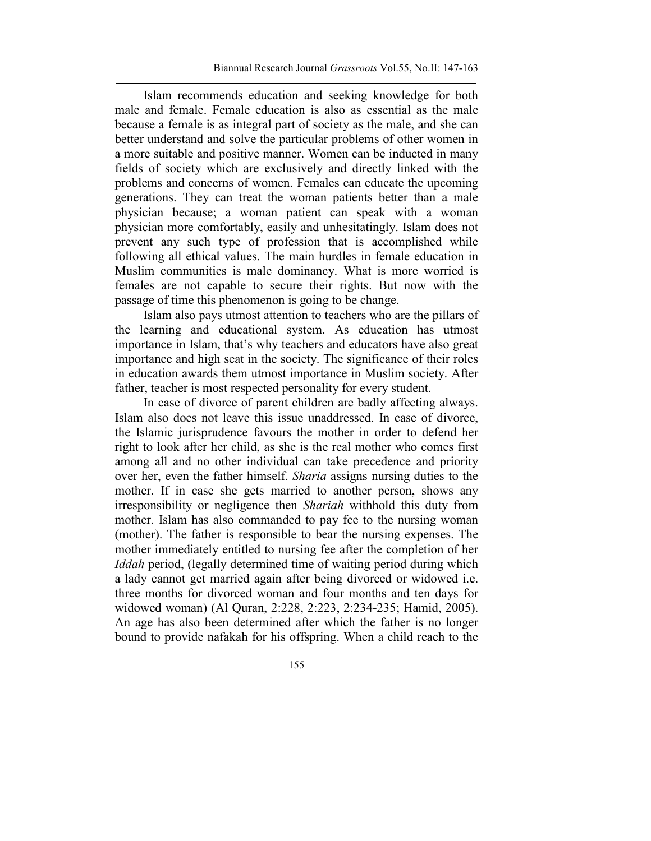Islam recommends education and seeking knowledge for both male and female. Female education is also as essential as the male because a female is as integral part of society as the male, and she can better understand and solve the particular problems of other women in a more suitable and positive manner. Women can be inducted in many fields of society which are exclusively and directly linked with the problems and concerns of women. Females can educate the upcoming generations. They can treat the woman patients better than a male physician because; a woman patient can speak with a woman physician more comfortably, easily and unhesitatingly. Islam does not prevent any such type of profession that is accomplished while following all ethical values. The main hurdles in female education in Muslim communities is male dominancy. What is more worried is females are not capable to secure their rights. But now with the passage of time this phenomenon is going to be change.

Islam also pays utmost attention to teachers who are the pillars of the learning and educational system. As education has utmost importance in Islam, that's why teachers and educators have also great importance and high seat in the society. The significance of their roles in education awards them utmost importance in Muslim society. After father, teacher is most respected personality for every student.

In case of divorce of parent children are badly affecting always. Islam also does not leave this issue unaddressed. In case of divorce, the Islamic jurisprudence favours the mother in order to defend her right to look after her child, as she is the real mother who comes first among all and no other individual can take precedence and priority over her, even the father himself. *Sharia* assigns nursing duties to the mother. If in case she gets married to another person, shows any irresponsibility or negligence then *Shariah* withhold this duty from mother. Islam has also commanded to pay fee to the nursing woman (mother). The father is responsible to bear the nursing expenses. The mother immediately entitled to nursing fee after the completion of her *Iddah* period, (legally determined time of waiting period during which a lady cannot get married again after being divorced or widowed i.e. three months for divorced woman and four months and ten days for widowed woman) (Al Quran, 2:228, 2:223, 2:234-235; Hamid, 2005). An age has also been determined after which the father is no longer bound to provide nafakah for his offspring. When a child reach to the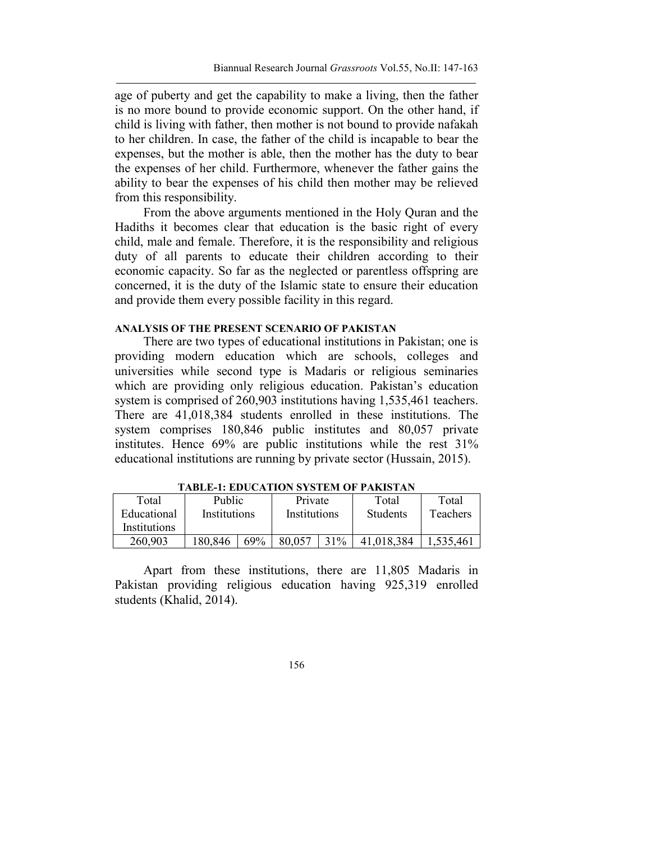age of puberty and get the capability to make a living, then the father is no more bound to provide economic support. On the other hand, if child is living with father, then mother is not bound to provide nafakah to her children. In case, the father of the child is incapable to bear the expenses, but the mother is able, then the mother has the duty to bear the expenses of her child. Furthermore, whenever the father gains the ability to bear the expenses of his child then mother may be relieved from this responsibility.

From the above arguments mentioned in the Holy Quran and the Hadiths it becomes clear that education is the basic right of every child, male and female. Therefore, it is the responsibility and religious duty of all parents to educate their children according to their economic capacity. So far as the neglected or parentless offspring are concerned, it is the duty of the Islamic state to ensure their education and provide them every possible facility in this regard.

## **ANALYSIS OF THE PRESENT SCENARIO OF PAKISTAN**

There are two types of educational institutions in Pakistan; one is providing modern education which are schools, colleges and universities while second type is Madaris or religious seminaries which are providing only religious education. Pakistan's education system is comprised of 260,903 institutions having 1,535,461 teachers. There are 41,018,384 students enrolled in these institutions. The system comprises 180,846 public institutes and 80,057 private institutes. Hence 69% are public institutions while the rest 31% educational institutions are running by private sector (Hussain, 2015).

| Total        | Public       |     | Private      |     | Total           | Total           |  |
|--------------|--------------|-----|--------------|-----|-----------------|-----------------|--|
| Educational  | Institutions |     | Institutions |     | <b>Students</b> | <b>Teachers</b> |  |
| Institutions |              |     |              |     |                 |                 |  |
| 260,903      | 180,846      | 69% |              | 31% | 41 018 384      | 535.461         |  |

**TABLE-1: EDUCATION SYSTEM OF PAKISTAN**

Apart from these institutions, there are 11,805 Madaris in Pakistan providing religious education having 925,319 enrolled students (Khalid, 2014).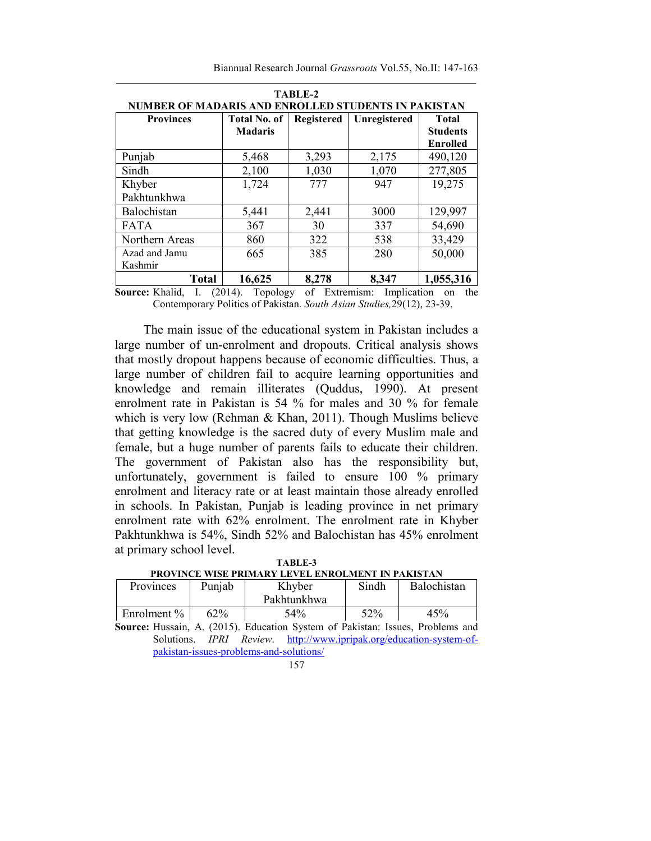| TABLE-2<br>NUMBER OF MADARIS AND ENROLLED STUDENTS IN PAKISTAN |                                       |             |              |                                                    |  |  |  |  |
|----------------------------------------------------------------|---------------------------------------|-------------|--------------|----------------------------------------------------|--|--|--|--|
| <b>Provinces</b>                                               | <b>Total No. of</b><br><b>Madaris</b> | Registered  | Unregistered | <b>Total</b><br><b>Students</b><br><b>Enrolled</b> |  |  |  |  |
| Punjab                                                         | 5,468                                 | 3,293       | 2,175        | 490,120                                            |  |  |  |  |
| Sindh                                                          | 2,100                                 | 1,030       | 1,070        | 277,805                                            |  |  |  |  |
| Khyber                                                         | 1,724                                 | 777         | 947          | 19,275                                             |  |  |  |  |
| Pakhtunkhwa                                                    |                                       |             |              |                                                    |  |  |  |  |
| Balochistan                                                    | 5,441                                 | 2,441<br>30 | 3000         | 129,997                                            |  |  |  |  |
| <b>FATA</b>                                                    | 367                                   |             | 337          | 54,690                                             |  |  |  |  |
| Northern Areas                                                 | 860                                   | 322         | 538          | 33,429                                             |  |  |  |  |
| Azad and Jamu                                                  | 665                                   | 385         | 280          | 50,000                                             |  |  |  |  |
| Kashmir                                                        |                                       |             |              |                                                    |  |  |  |  |
| <b>Total</b>                                                   | 16,625                                | 8,278       | 8,347        | 1,055,316                                          |  |  |  |  |

Biannual Research Journal *Grassroots* Vol.55, No.II: 147-163

**Source:** Khalid, I. (2014). Topology of Extremism: Implication on the Contemporary Politics of Pakistan. *South Asian Studies,*29(12), 23-39.

The main issue of the educational system in Pakistan includes a large number of un-enrolment and dropouts. Critical analysis shows that mostly dropout happens because of economic difficulties. Thus, a large number of children fail to acquire learning opportunities and knowledge and remain illiterates (Quddus, 1990). At present enrolment rate in Pakistan is 54 % for males and 30 % for female which is very low (Rehman & Khan, 2011). Though Muslims believe that getting knowledge is the sacred duty of every Muslim male and female, but a huge number of parents fails to educate their children. The government of Pakistan also has the responsibility but, unfortunately, government is failed to ensure 100 % primary enrolment and literacy rate or at least maintain those already enrolled in schools. In Pakistan, Punjab is leading province in net primary enrolment rate with 62% enrolment. The enrolment rate in Khyber Pakhtunkhwa is 54%, Sindh 52% and Balochistan has 45% enrolment at primary school level. **TABLE-3**

| TADLE-9 |                                                   |  |  |  |  |  |  |  |
|---------|---------------------------------------------------|--|--|--|--|--|--|--|
|         | PROVINCE WISE PRIMARY LEVEL ENROLMENT IN PAKISTAN |  |  |  |  |  |  |  |

| Provinces                | Punjab | Khyber                                                                         | Sindh | Balochistan |
|--------------------------|--------|--------------------------------------------------------------------------------|-------|-------------|
|                          |        | Pakhtunkhwa                                                                    |       |             |
| Enrolment $\%$<br>$62\%$ |        | 54%                                                                            | 52%   | 45%         |
|                          |        | Source: Hussain, A. (2015). Education System of Pakistan: Issues, Problems and |       |             |
|                          |        |                                                                                |       |             |

Solutions. *IPRI Review*. [http://www.ipripak.org/edu](http://www.ipripak.org/education-system-of-pakistan-issues-problems-and-solutions/)cation-system-of[pakistan-issues-problems](http://www.ipripak.org/education-system-of-pakistan-issues-problems-and-solutions/)-and-solutions/

157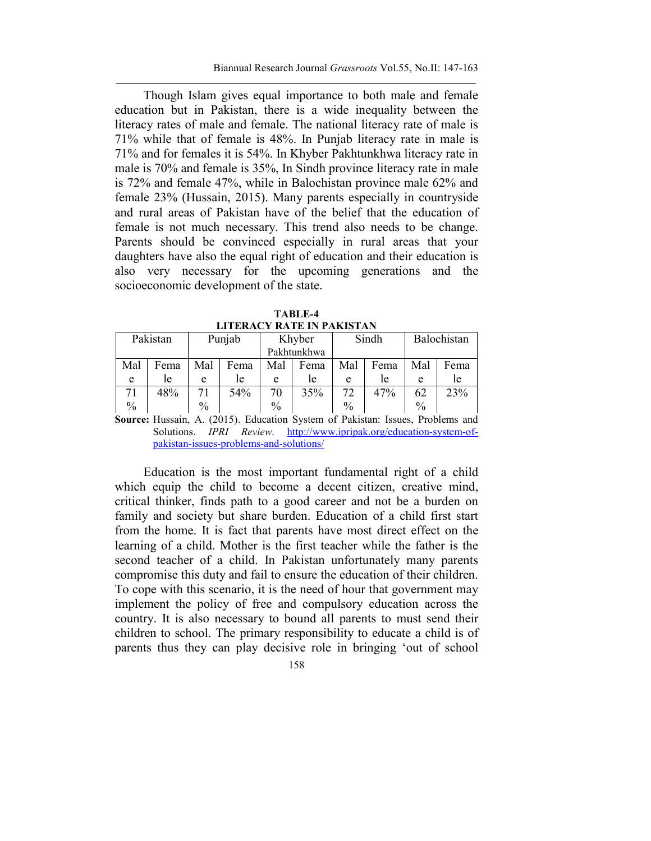Though Islam gives equal importance to both male and female education but in Pakistan, there is a wide inequality between the literacy rates of male and female. The national literacy rate of male is 71% while that of female is 48%. In Punjab literacy rate in male is 71% and for females it is 54%. In Khyber Pakhtunkhwa literacy rate in male is 70% and female is 35%, In Sindh province literacy rate in male is 72% and female 47%, while in Balochistan province male 62% and female 23% (Hussain, 2015). Many parents especially in countryside and rural areas of Pakistan have of the belief that the education of female is not much necessary. This trend also needs to be change. Parents should be convinced especially in rural areas that your daughters have also the equal right of education and their education is also very necessary for the upcoming generations and the socioeconomic development of the state.

| TABLE-4                   |  |  |  |  |  |  |  |
|---------------------------|--|--|--|--|--|--|--|
| LITERACY RATE IN PAKISTAN |  |  |  |  |  |  |  |

| Pakistan      |      | Punjab        |      | Khyber        |      | Sindh         |      | Balochistan   |      |
|---------------|------|---------------|------|---------------|------|---------------|------|---------------|------|
|               |      |               |      | Pakhtunkhwa   |      |               |      |               |      |
| Mal           | Fema | Mal           | Fema | Mal           | Fema | Mal           | Fema | Mal           | Fema |
| e             | le.  | e             | le   | e             | le   | e             | ıe   | e             | le   |
| 71            | 48%  |               | 54%  | 70            | 35%  | 72            | 47%  | 62            | 23%  |
| $\frac{0}{0}$ |      | $\frac{0}{0}$ |      | $\frac{0}{0}$ |      | $\frac{0}{0}$ |      | $\frac{0}{0}$ |      |

**Source:** Hussain, A. (2015). Education System of Pakistan: Issues, Problems and Solutions. *IPRI Review*. [http://www.ipripak.org/edu](http://www.ipripak.org/education-system-of-pakistan-issues-problems-and-solutions/)cation-system-of[pakistan-issues-problems](http://www.ipripak.org/education-system-of-pakistan-issues-problems-and-solutions/)-and-solutions/

Education is the most important fundamental right of a child which equip the child to become a decent citizen, creative mind, critical thinker, finds path to a good career and not be a burden on family and society but share burden. Education of a child first start from the home. It is fact that parents have most direct effect on the learning of a child. Mother is the first teacher while the father is the second teacher of a child. In Pakistan unfortunately many parents compromise this duty and fail to ensure the education of their children. To cope with this scenario, it is the need of hour that government may implement the policy of free and compulsory education across the country. It is also necessary to bound all parents to must send their children to school. The primary responsibility to educate a child is of parents thus they can play decisive role in bringing 'out of school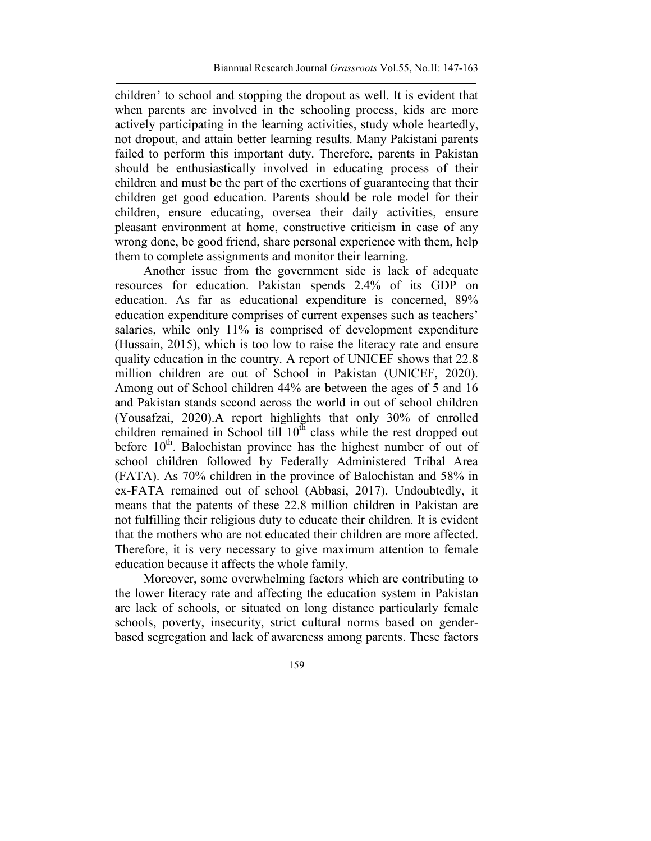children' to school and stopping the dropout as well. It is evident that when parents are involved in the schooling process, kids are more actively participating in the learning activities, study whole heartedly, not dropout, and attain better learning results. Many Pakistani parents failed to perform this important duty. Therefore, parents in Pakistan should be enthusiastically involved in educating process of their children and must be the part of the exertions of guaranteeing that their children get good education. Parents should be role model for their children, ensure educating, oversea their daily activities, ensure pleasant environment at home, constructive criticism in case of any wrong done, be good friend, share personal experience with them, help them to complete assignments and monitor their learning.

Another issue from the government side is lack of adequate resources for education. Pakistan spends 2.4% of its GDP on education. As far as educational expenditure is concerned, 89% education expenditure comprises of current expenses such as teachers' salaries, while only 11% is comprised of development expenditure (Hussain, 2015), which is too low to raise the literacy rate and ensure quality education in the country. A report of UNICEF shows that 22.8 million children are out of School in Pakistan (UNICEF, 2020). Among out of School children 44% are between the ages of 5 and 16 and Pakistan stands second across the world in out of school children (Yousafzai, 2020).A report highlights that only 30% of enrolled children remained in School till  $10^{th}$  class while the rest dropped out before  $10<sup>th</sup>$ . Balochistan province has the highest number of out of school children followed by Federally Administered Tribal Area (FATA). As 70% children in the province of Balochistan and 58% in ex-FATA remained out of school (Abbasi, 2017). Undoubtedly, it means that the patents of these 22.8 million children in Pakistan are not fulfilling their religious duty to educate their children. It is evident that the mothers who are not educated their children are more affected. Therefore, it is very necessary to give maximum attention to female education because it affects the whole family.

Moreover, some overwhelming factors which are contributing to the lower literacy rate and affecting the education system in Pakistan are lack of schools, or situated on long distance particularly female schools, poverty, insecurity, strict cultural norms based on genderbased segregation and lack of awareness among parents. These factors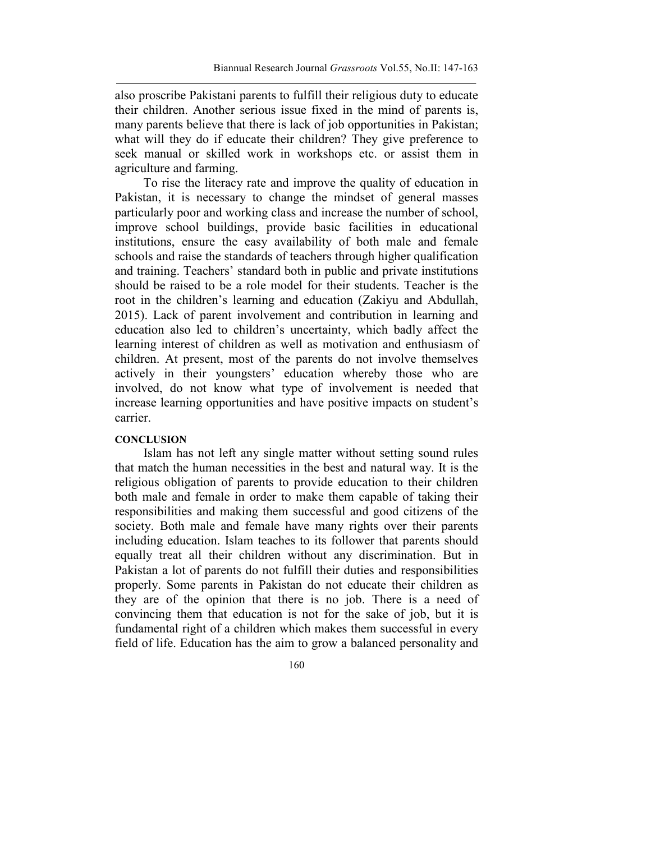also proscribe Pakistani parents to fulfill their religious duty to educate their children. Another serious issue fixed in the mind of parents is, many parents believe that there is lack of job opportunities in Pakistan; what will they do if educate their children? They give preference to seek manual or skilled work in workshops etc. or assist them in agriculture and farming.

To rise the literacy rate and improve the quality of education in Pakistan, it is necessary to change the mindset of general masses particularly poor and working class and increase the number of school, improve school buildings, provide basic facilities in educational institutions, ensure the easy availability of both male and female schools and raise the standards of teachers through higher qualification and training. Teachers' standard both in public and private institutions should be raised to be a role model for their students. Teacher is the root in the children's learning and education (Zakiyu and Abdullah, 2015). Lack of parent involvement and contribution in learning and education also led to children's uncertainty, which badly affect the learning interest of children as well as motivation and enthusiasm of children. At present, most of the parents do not involve themselves actively in their youngsters' education whereby those who are involved, do not know what type of involvement is needed that increase learning opportunities and have positive impacts on student's carrier.

# **CONCLUSION**

Islam has not left any single matter without setting sound rules that match the human necessities in the best and natural way. It is the religious obligation of parents to provide education to their children both male and female in order to make them capable of taking their responsibilities and making them successful and good citizens of the society. Both male and female have many rights over their parents including education. Islam teaches to its follower that parents should equally treat all their children without any discrimination. But in Pakistan a lot of parents do not fulfill their duties and responsibilities properly. Some parents in Pakistan do not educate their children as they are of the opinion that there is no job. There is a need of convincing them that education is not for the sake of job, but it is fundamental right of a children which makes them successful in every field of life. Education has the aim to grow a balanced personality and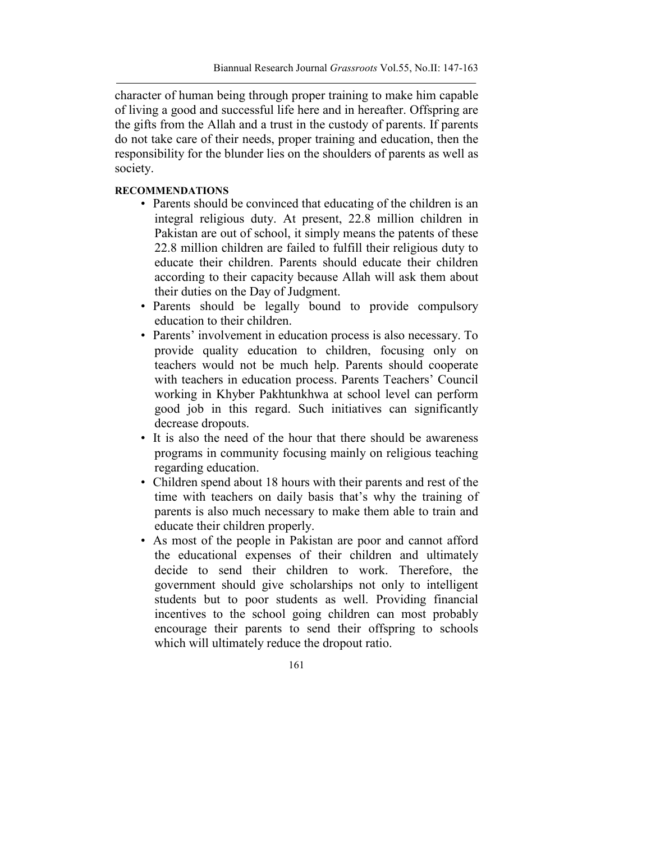character of human being through proper training to make him capable of living a good and successful life here and in hereafter. Offspring are the gifts from the Allah and a trust in the custody of parents. If parents do not take care of their needs, proper training and education, then the responsibility for the blunder lies on the shoulders of parents as well as society.

# **RECOMMENDATIONS**

- Parents should be convinced that educating of the children is an integral religious duty. At present, 22.8 million children in Pakistan are out of school, it simply means the patents of these 22.8 million children are failed to fulfill their religious duty to educate their children. Parents should educate their children according to their capacity because Allah will ask them about their duties on the Day of Judgment.
- Parents should be legally bound to provide compulsory education to their children.
- Parents' involvement in education process is also necessary. To provide quality education to children, focusing only on teachers would not be much help. Parents should cooperate with teachers in education process. Parents Teachers' Council working in Khyber Pakhtunkhwa at school level can perform good job in this regard. Such initiatives can significantly decrease dropouts.
- It is also the need of the hour that there should be awareness programs in community focusing mainly on religious teaching regarding education.
- Children spend about 18 hours with their parents and rest of the time with teachers on daily basis that's why the training of parents is also much necessary to make them able to train and educate their children properly.
- As most of the people in Pakistan are poor and cannot afford the educational expenses of their children and ultimately decide to send their children to work. Therefore, the government should give scholarships not only to intelligent students but to poor students as well. Providing financial incentives to the school going children can most probably encourage their parents to send their offspring to schools which will ultimately reduce the dropout ratio.

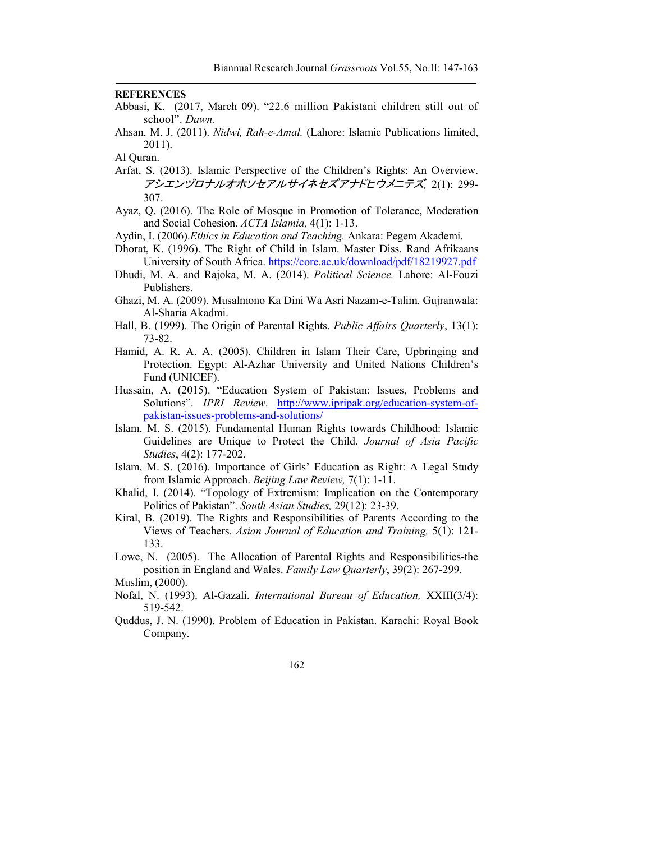#### **REFERENCES**

- Abbasi, K. (2017, March 09). "22.6 million Pakistani children still out of school". *Dawn.*
- Ahsan, M. J. (2011). *Nidwi, Rah-e-Amal.* (Lahore: Islamic Publications limited, 2011).
- Al Quran.
- Arfat, S. (2013). Islamic Perspective of the Children's Rights: An Overview. アシエンヅロナルオホソセアルサイネセズアナドヒウメニテズ*,* 2(1): 299- 307.
- Ayaz, Q. (2016). The Role of Mosque in Promotion of Tolerance, Moderation and Social Cohesion. *ACTA Islamia,* 4(1): 1-13.
- Aydin, I. (2006).*Ethics in Education and Teaching.* Ankara: Pegem Akademi.
- Dhorat, K. (1996). The Right of Child in Islam. Master Diss. Rand Afrikaans University of South Africa. [https://core.ac.uk/download/p](https://core.ac.uk/download/pdf/18219927.pdf)df/18219927.pdf
- Dhudi, M. A. and Rajoka, M. A. (2014). *Political Science.* Lahore: Al-Fouzi Publishers.
- Ghazi, M. A. (2009). Musalmono Ka Dini Wa Asri Nazam-e-Talim*.* Gujranwala: Al-Sharia Akadmi.
- Hall, B. (1999). The Origin of Parental Rights. *Public Affairs Quarterly*, 13(1): 73-82.
- Hamid, A. R. A. A. (2005). Children in Islam Their Care, Upbringing and Protection. Egypt: Al-Azhar University and United Nations Children's Fund (UNICEF).
- Hussain, A. (2015). "Education System of Pakistan: Issues, Problems and Solutions". *IPRI Review*. [http://www.ipripak.org/edu](http://www.ipripak.org/education-system-of-pakistan-issues-problems-and-solutions/)cation-system-of[pakistan-issues-problem](http://www.ipripak.org/education-system-of-pakistan-issues-problems-and-solutions/)s-and-solutions/
- Islam, M. S. (2015). Fundamental Human Rights towards Childhood: Islamic Guidelines are Unique to Protect the Child. *Journal of Asia Pacific Studies*, 4(2): 177-202.
- Islam, M. S. (2016). Importance of Girls' Education as Right: A Legal Study from Islamic Approach. *Beijing Law Review,* 7(1): 1-11.
- Khalid, I. (2014). "Topology of Extremism: Implication on the Contemporary Politics of Pakistan". *South Asian Studies,* 29(12): 23-39.
- Kiral, B. (2019). The Rights and Responsibilities of Parents According to the Views of Teachers. *Asian Journal of Education and Training,* 5(1): 121- 133.
- Lowe, N. (2005). The Allocation of Parental Rights and Responsibilities-the position in England and Wales. *Family Law Quarterly*, 39(2): 267-299. Muslim, (2000).
- Nofal, N. (1993). Al-Gazali. *International Bureau of Education,* XXIII(3/4): 519-542.
- Quddus, J. N. (1990). Problem of Education in Pakistan. Karachi: Royal Book Company.
	- 162